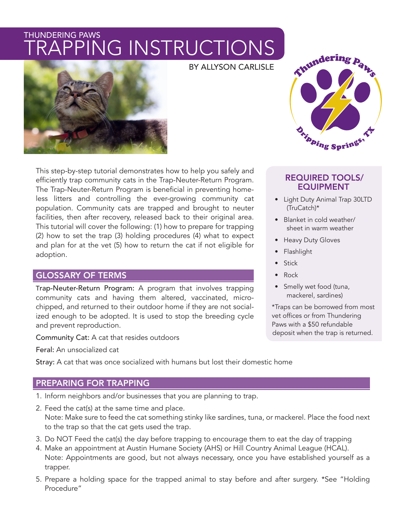# THUNDERING PAWS PPING INSTRUCTIONS





This step-by-step tutorial demonstrates how to help you safely and efficiently trap community cats in the Trap-Neuter-Return Program. The Trap-Neuter-Return Program is beneficial in preventing homeless litters and controlling the ever-growing community cat population. Community cats are trapped and brought to neuter facilities, then after recovery, released back to their original area. This tutorial will cover the following: (1) how to prepare for trapping (2) how to set the trap (3) holding procedures (4) what to expect and plan for at the vet (5) how to return the cat if not eligible for adoption.

# GLOSSARY OF TERMS

Trap-Neuter-Return Program: A program that involves trapping community cats and having them altered, vaccinated, microchipped, and returned to their outdoor home if they are not socialized enough to be adopted. It is used to stop the breeding cycle and prevent reproduction.

Community Cat: A cat that resides outdoors

Feral: An unsocialized cat

Stray: A cat that was once socialized with humans but lost their domestic home

# PREPARING FOR TRAPPING

- 1. Inform neighbors and/or businesses that you are planning to trap.
- 2. Feed the cat(s) at the same time and place. Note: Make sure to feed the cat something stinky like sardines, tuna, or mackerel. Place the food next to the trap so that the cat gets used the trap.
- 3. Do NOT Feed the cat(s) the day before trapping to encourage them to eat the day of trapping
- 4. Make an appointment at Austin Humane Society (AHS) or Hill Country Animal League (HCAL). Note: Appointments are good, but not always necessary, once you have established yourself as a trapper.
- 5. Prepare a holding space for the trapped animal to stay before and after surgery. \*See "Holding Procedure"



# REQUIRED TOOLS/ EQUIPMENT

- Light Duty Animal Trap 30LTD (TruCatch)\*
- Blanket in cold weather/ sheet in warm weather
- Heavy Duty Gloves
- Flashlight
- **Stick**
- Rock
- Smelly wet food (tuna, mackerel, sardines)

\*Traps can be borrowed from most vet offices or from Thundering Paws with a \$50 refundable deposit when the trap is returned.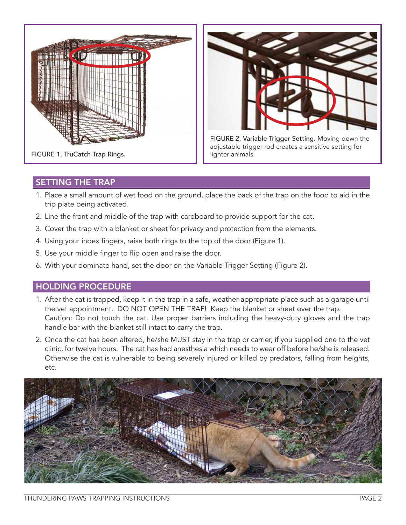



FIGURE 2, Variable Trigger Setting. Moving down the adjustable trigger rod creates a sensitive setting for lighter animals.

# SETTING THE TRAP

- 1. Place a small amount of wet food on the ground, place the back of the trap on the food to aid in the trip plate being activated.
- 2. Line the front and middle of the trap with cardboard to provide support for the cat.
- 3. Cover the trap with a blanket or sheet for privacy and protection from the elements.
- 4. Using your index fingers, raise both rings to the top of the door (Figure 1).
- 5. Use your middle finger to flip open and raise the door.
- 6. With your dominate hand, set the door on the Variable Trigger Setting (Figure 2).

## HOLDING PROCEDURE

- 1. After the cat is trapped, keep it in the trap in a safe, weather-appropriate place such as a garage until the vet appointment. DO NOT OPEN THE TRAP! Keep the blanket or sheet over the trap. Caution: Do not touch the cat. Use proper barriers including the heavy-duty gloves and the trap handle bar with the blanket still intact to carry the trap.
- 2. Once the cat has been altered, he/she MUST stay in the trap or carrier, if you supplied one to the vet clinic, for twelve hours. The cat has had anesthesia which needs to wear off before he/she is released. Otherwise the cat is vulnerable to being severely injured or killed by predators, falling from heights, etc.